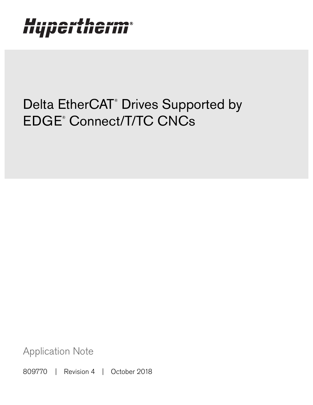# Hypertherm®

## Delta EtherCAT<sup>®</sup> Drives Supported by EDGE® Connect/T/TC CNCs

Application Note

809770 | Revision 4 | October 2018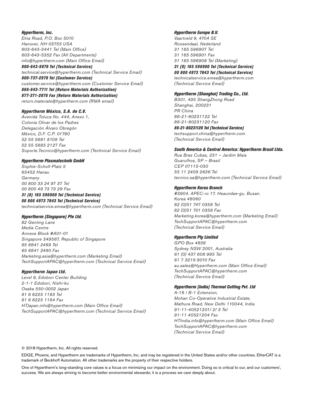### Hypertherm, Inc.

Etna Road, P.O. Box 5010 Hanover, NH 03755 USA 603-643-3441 Tel (Main Office) 603-643-5352 Fax (All Departments) info@hypertherm.com (Main Office Email)

800-643-9878 Tel (Technical Service) technical.service@hypertherm.com (Technical Service Email) 800-737-2978 Tel (Customer Service)

customer.service@hypertherm.com (Customer Service Email)

866-643-7711 Tel (Return Materials Authorization) 877-371-2876 Fax (Return Materials Authorization) return.materials@hypertherm.com (RMA email)

### Hypertherm México, S.A. de C.V.

Avenida Toluca No. 444, Anexo 1, Colonia Olivar de los Padres Delegación Álvaro Obregón México, D.F. C.P. 01780 52 55 5681 8109 Tel 52 55 5683 2127 Fax Soporte.Tecnico@hypertherm.com (Technical Service Email)

#### Hypertherm Plasmatechnik GmbH

Sophie-Scholl-Platz 5 63452 Hanau **Germany** 00 800 33 24 97 37 Tel 00 800 49 73 73 29 Fax

### 31 (0) 165 596900 Tel (Technical Service)

00 800 4973 7843 Tel (Technical Service) technicalservice.emea@hypertherm.com (Technical Service Email)

### Hypertherm (Singapore) Pte Ltd.

82 Genting Lane Media Centre Annexe Block #A01-01 Singapore 349567, Republic of Singapore 65 6841 2489 Tel 65 6841 2490 Fax Marketing.asia@hypertherm.com (Marketing Email) TechSupportAPAC@hypertherm.com (Technical Service Email)

#### Hypertherm Japan Ltd.

Level 9, Edobori Center Building 2-1-1 Edobori, Nishi-ku Osaka 550-0002 Japan 81 6 6225 1183 Tel 81 6 6225 1184 Fax HTJapan.info@hypertherm.com (Main Office Email) TechSupportAPAC@hypertherm.com (Technical Service Email)

### Hypertherm Europe B.V.

Vaartveld 9, 4704 SE Roosendaal, Nederland 31 165 596907 Tel 31 165 596901 Fax 31 165 596908 Tel (Marketing) 31 (0) 165 596900 Tel (Technical Service) 00 800 4973 7843 Tel (Technical Service)

technicalservice.emea@hypertherm.com (Technical Service Email)

#### Hypertherm (Shanghai) Trading Co., Ltd.

B301, 495 ShangZhong Road Shanghai, 200231 PR China 86-21-80231122 Tel 86-21-80231120 Fax

86-21-80231128 Tel (Technical Service) techsupport.china@hypertherm.com (Technical Service Email)

#### South America & Central America: Hypertherm Brasil Ltda.

Rua Bras Cubas, 231 – Jardim Maia Guarulhos, SP – Brasil CEP 07115-030 55 11 2409 2636 Tel tecnico.sa@hypertherm.com (Technical Service Email)

#### Hypertherm Korea Branch

#3904. APEC-ro 17. Heaundae-gu. Busan. Korea 48060 82 (0)51 747 0358 Tel 82 (0)51 701 0358 Fax Marketing.korea@hypertherm.com (Marketing Email) TechSupportAPAC@hypertherm.com (Technical Service Email)

#### Hypertherm Pty Limited

GPO Box 4836 Sydney NSW 2001, Australia 61 (0) 437 606 995 Tel 61 7 3219 9010 Fax au.sales@Hypertherm.com (Main Office Email) TechSupportAPAC@hypertherm.com (Technical Service Email)

### Hypertherm (India) Thermal Cutting Pvt. Ltd

A-18 / B-1 Extension, Mohan Co-Operative Industrial Estate, Mathura Road, New Delhi 110044, India 91-11-40521201/ 2/ 3 Tel 91-11 40521204 Fax HTIndia.info@hypertherm.com (Main Office Email) TechSupportAPAC@hypertherm.com (Technical Service Email)

© 2018 Hypertherm, Inc. All rights reserved.

EDGE, Phoenix, and Hypertherm are trademarks of Hypertherm, Inc. and may be registered in the United States and/or other countries. EtherCAT is a trademark of Beckhoff Automation. All other trademarks are the property of their respective holders.

One of Hypertherm's long-standing core values is a focus on minimizing our impact on the environment. Doing so is critical to our, and our customers', success. We are always striving to become better environmental stewards; it is a process we care deeply about.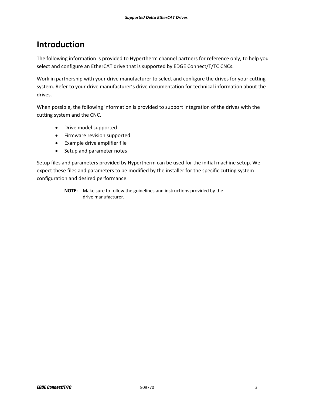### **Introduction**

The following information is provided to Hypertherm channel partners for reference only, to help you select and configure an EtherCAT drive that is supported by EDGE Connect/T/TC CNCs.

Work in partnership with your drive manufacturer to select and configure the drives for your cutting system. Refer to your drive manufacturer's drive documentation for technical information about the drives.

When possible, the following information is provided to support integration of the drives with the cutting system and the CNC.

- Drive model supported
- Firmware revision supported
- Example drive amplifier file
- Setup and parameter notes

Setup files and parameters provided by Hypertherm can be used for the initial machine setup. We expect these files and parameters to be modified by the installer for the specific cutting system configuration and desired performance.

> **NOTE:** Make sure to follow the guidelines and instructions provided by the drive manufacturer.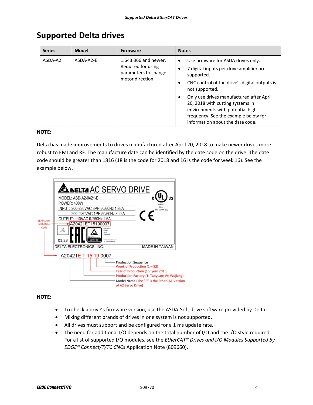| <b>Series</b> | <b>Model</b> | <b>Firmware</b>                                                                        | <b>Notes</b>                                                                                                                                                                                                                                                                                                                                                                           |
|---------------|--------------|----------------------------------------------------------------------------------------|----------------------------------------------------------------------------------------------------------------------------------------------------------------------------------------------------------------------------------------------------------------------------------------------------------------------------------------------------------------------------------------|
| ASDA-A2       | ASDA-A2-E    | 1.643.366 and newer.<br>Required for using<br>parameters to change<br>motor direction. | Use firmware for ASDA drives only.<br>$\bullet$<br>7 digital inputs per drive amplifier are<br>٠<br>supported.<br>CNC control of the drive's digital outputs is<br>٠<br>not supported.<br>Only use drives manufactured after April<br>20, 2018 with cutting systems in<br>environments with potential high<br>frequency. See the example below for<br>information about the date code. |

### **Supported Delta drives**

### **NOTE:**

Delta has made improvements to drives manufactured after April 20, 2018 to make newer drives more robust to EMI and RF. The manufacture date can be identified by the date code on the drive. The date code should be greater than 1816 (18 is the code for 2018 and 16 is the code for week 16). See the example below.



### **NOTE:**

- To check a drive's firmware version, use the ASDA‐Soft drive software provided by Delta.
- Mixing different brands of drives in one system is not supported.
- All drives must support and be configured for a 1 ms update rate.
- The need for additional I/O depends on the total number of I/O and the I/O style required. For a list of supported I/O modules, see the *EtherCAT® Drives and I/O Modules Supported by EDGE® Connect/T/TC CNCs* Application Note (809660).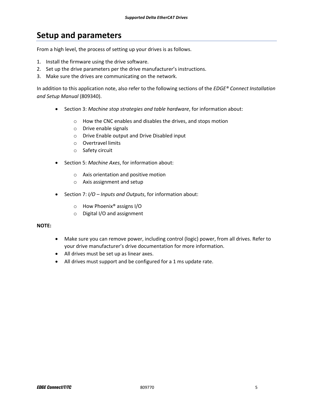### **Setup and parameters**

From a high level, the process of setting up your drives is as follows.

- 1. Install the firmware using the drive software.
- 2. Set up the drive parameters per the drive manufacturer's instructions.
- 3. Make sure the drives are communicating on the network.

In addition to this application note, also refer to the following sections of the *EDGE® Connect Installation and Setup Manual* (809340).

- Section 3: *Machine stop strategies and table hardware*, for information about:
	- o How the CNC enables and disables the drives, and stops motion
	- o Drive enable signals
	- o Drive Enable output and Drive Disabled input
	- o Overtravel limits
	- o Safety circuit
- **Section 5: Machine Axes, for information about:** 
	- o Axis orientation and positive motion
	- o Axis assignment and setup
- Section 7: *I/O Inputs and Outputs*, for information about:
	- o How Phoenix® assigns I/O
	- o Digital I/O and assignment

### **NOTE:**

- Make sure you can remove power, including control (logic) power, from all drives. Refer to your drive manufacturer's drive documentation for more information.
- All drives must be set up as linear axes.
- All drives must support and be configured for a 1 ms update rate.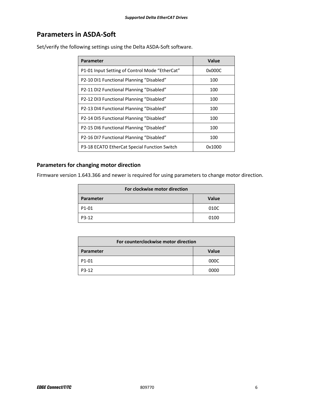### **Parameters in ASDA‐Soft**

| Parameter                                      | Value  |  |  |
|------------------------------------------------|--------|--|--|
| P1-01 Input Setting of Control Mode "EtherCat" | 0x000C |  |  |
| P2-10 DI1 Functional Planning "Disabled"       | 100    |  |  |
| P2-11 DI2 Functional Planning "Disabled"       | 100    |  |  |
| P2-12 DI3 Functional Planning "Disabled"       | 100    |  |  |
| P2-13 DI4 Functional Planning "Disabled"       | 100    |  |  |
| P2-14 DI5 Functional Planning "Disabled"       | 100    |  |  |
| P2-15 DI6 Functional Planning "Disabled"       | 100    |  |  |
| P2-16 DI7 Functional Planning "Disabled"       | 100    |  |  |
| P3-18 ECATO EtherCat Special Function Switch   | 0x1000 |  |  |

Set/verify the following settings using the Delta ASDA‐Soft software.

### **Parameters for changing motor direction**

Firmware version 1.643.366 and newer is required for using parameters to change motor direction.

| For clockwise motor direction |       |  |  |
|-------------------------------|-------|--|--|
| <b>Parameter</b>              | Value |  |  |
| P1-01                         | 010C  |  |  |
| P3-12                         | 0100  |  |  |

| For counterclockwise motor direction |              |  |  |
|--------------------------------------|--------------|--|--|
| Parameter                            | <b>Value</b> |  |  |
| P1-01                                | 000C         |  |  |
| P3-12                                | 0000         |  |  |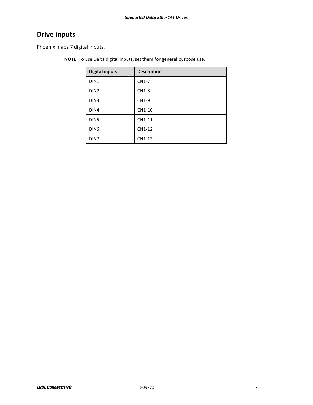### **Drive inputs**

Phoenix maps 7 digital inputs.

**NOTE:** To use Delta digital inputs, set them for general purpose use.

| <b>Digital inputs</b> | <b>Description</b> |
|-----------------------|--------------------|
| DIN <sub>1</sub>      | CN1-7              |
| DIN <sub>2</sub>      | $CN1-8$            |
| DIN <sub>3</sub>      | CN1-9              |
| DIN4                  | CN1-10             |
| DIN <sub>5</sub>      | CN1-11             |
| DIN <sub>6</sub>      | CN1-12             |
| DIN7                  | CN1-13             |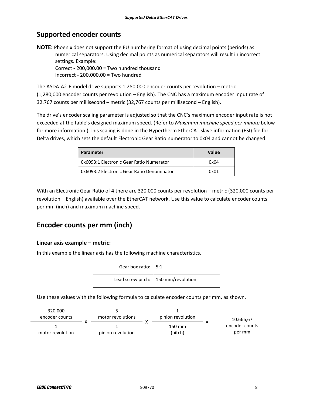### **Supported encoder counts**

**NOTE:** Phoenix does not support the EU numbering format of using decimal points (periods) as numerical separators. Using decimal points as numerical separators will result in incorrect settings. Example: Correct ‐ 200,000.00 = Two hundred thousand Incorrect ‐ 200.000,00 = Two hundred

The ASDA‐A2‐E model drive supports 1.280.000 encoder counts per revolution – metric (1,280,000 encoder counts per revolution – English). The CNC has a maximum encoder input rate of 32.767 counts per millisecond – metric (32,767 counts per millisecond – English).

The drive's encoder scaling parameter is adjusted so that the CNC's maximum encoder input rate is not exceeded at the table's designed maximum speed. (Refer to *Maximum machine speed per minute* below for more information.) This scaling is done in the Hypertherm EtherCAT slave information (ESI) file for Delta drives, which sets the default Electronic Gear Ratio numerator to 0x04 and cannot be changed.

| Parameter                                  | <b>Value</b> |
|--------------------------------------------|--------------|
| 0x6093:1 Electronic Gear Ratio Numerator   | 0x04         |
| 0x6093:2 Electronic Gear Ratio Denominator | 0x01         |

With an Electronic Gear Ratio of 4 there are 320.000 counts per revolution – metric (320,000 counts per revolution – English) available over the EtherCAT network. Use this value to calculate encoder counts per mm (inch) and maximum machine speed.

### **Encoder counts per mm (inch)**

### **Linear axis example – metric:**

In this example the linear axis has the following machine characteristics.

| Gear box ratio:   5:1 |                                       |
|-----------------------|---------------------------------------|
|                       | Lead screw pitch:   150 mm/revolution |

Use these values with the following formula to calculate encoder counts per mm, as shown.